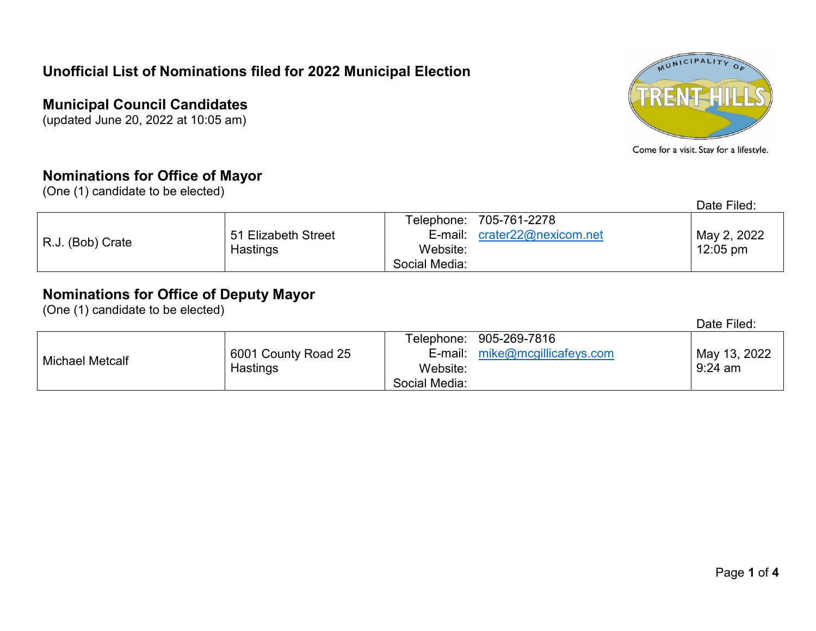#### **Municipal Council Candidates**

(updated June 20, 2022 at 10:05 am)

#### **Nominations for Office of Mayor**

(One (1) candidate to be elected)

| MUNICIPALITY |  |
|--------------|--|
|              |  |
|              |  |

Come for a visit. Stay for a lifestyle.

Date Filed:

| R.J. (Bob) Crate |                     |               | Telephone: 705-761-2278      |                    |
|------------------|---------------------|---------------|------------------------------|--------------------|
|                  | 51 Elizabeth Street |               | E-mail: crater22@nexicom.net | May 2, 2022        |
|                  | Hastings            | Website:      |                              | $12:05 \text{ pm}$ |
|                  |                     | Social Media: |                              |                    |

#### **Nominations for Office of Deputy Mayor**

(One (1) candidate to be elected)

|                 |                     |               |                                | Date Filed:  |
|-----------------|---------------------|---------------|--------------------------------|--------------|
|                 |                     |               | Telephone: 905-269-7816        |              |
| Michael Metcalf | 6001 County Road 25 |               | E-mail: mike@mcgillicafeys.com | May 13, 2022 |
|                 | Hastings            | Website:      |                                | $9:24$ am    |
|                 |                     | Social Media: |                                |              |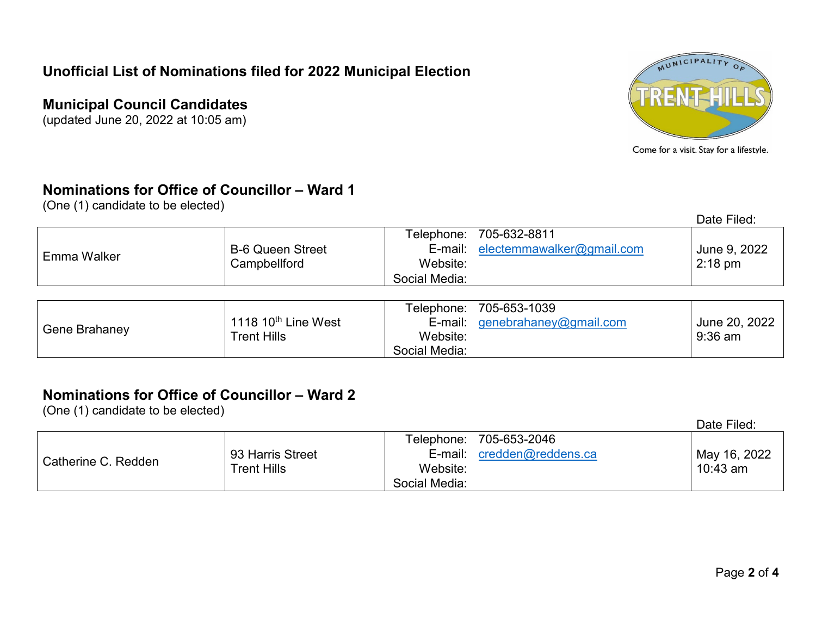### **Municipal Council Candidates**

(updated June 20, 2022 at 10:05 am)



Come for a visit. Stay for a lifestyle.

## **Nominations for Office of Councillor – Ward 1**

(One (1) candidate to be elected)

|               |                         |                  |                                   | Date Filed:       |
|---------------|-------------------------|------------------|-----------------------------------|-------------------|
|               |                         |                  | Telephone: 705-632-8811           |                   |
|               | <b>B-6 Queen Street</b> |                  | E-mail: electemmawalker@gmail.com | June 9, 2022      |
| Emma Walker   | Campbellford            | Website:         |                                   | $2:18 \text{ pm}$ |
|               |                         | Social Media:    |                                   |                   |
|               |                         |                  |                                   |                   |
|               |                         |                  | Telephone: 705-653-1039           |                   |
|               | 1118 $10th$ Line West   |                  | E-mail: genebrahaney@gmail.com    | June 20, 2022     |
| Gene Brahaney | $T_{\text{cont}}$ Uille | Mch <sub>0</sub> |                                   | 0.26cm            |

Website: Social Media:

# **Nominations for Office of Councillor – Ward 2**

Trent Hills

(One (1) candidate to be elected)

Date Filed:

9:36 am

| Catherine C. Redden |                                 | Telephone:    | 705-653-2046       |              |
|---------------------|---------------------------------|---------------|--------------------|--------------|
|                     | 93 Harris Street<br>Trent Hills | E-mail:       | credden@reddens.ca | May 16, 2022 |
|                     |                                 | Website:      |                    | 10:43 am     |
|                     |                                 | Social Media: |                    |              |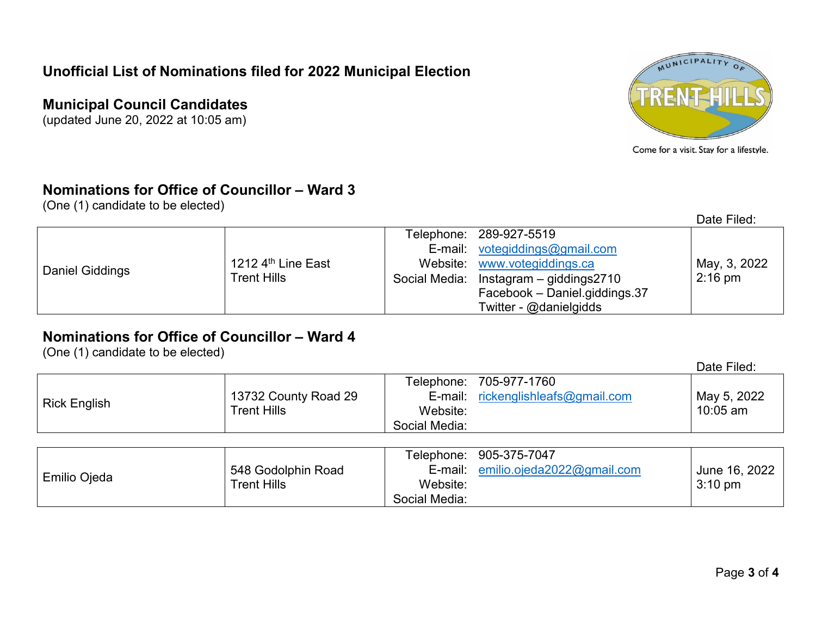#### **Municipal Council Candidates**

(updated June 20, 2022 at 10:05 am)



Come for a visit. Stay for a lifestyle.

# **Nominations for Office of Councillor – Ward 3**

(One (1) candidate to be elected)

|                 |                                     |                                        | Date Filed:       |
|-----------------|-------------------------------------|----------------------------------------|-------------------|
|                 | 1212 $4th$ Line East<br>Trent Hills | Telephone: 289-927-5519                |                   |
|                 |                                     | E-mail: votegiddings@gmail.com         |                   |
| Daniel Giddings |                                     | Website: www.votegiddings.ca           | May, 3, 2022      |
|                 |                                     | Social Media: Instagram - giddings2710 | $2:16 \text{ pm}$ |
|                 |                                     | Facebook - Daniel.giddings.37          |                   |
|                 |                                     | Twitter - @danielgidds                 |                   |

# **Nominations for Office of Councillor – Ward 4**

(One (1) candidate to be elected)

|                     |                      |               |                                      | Date Filed: |
|---------------------|----------------------|---------------|--------------------------------------|-------------|
|                     |                      |               | Telephone: 705-977-1760              |             |
|                     | 13732 County Road 29 |               | E-mail: $rickenglishleafs@gmail.com$ | May 5, 2022 |
| <b>Rick English</b> | Trent Hills          | Website:      |                                      | $10:05$ am  |
|                     |                      | Social Media: |                                      |             |

|              |                    |               | Telephone: 905-375-7047    |                   |
|--------------|--------------------|---------------|----------------------------|-------------------|
|              | 548 Godolphin Road | E-mail:       | emilio.ojeda2022@gmail.com | June 16, 2022     |
| Emilio Ojeda | Trent Hills        | Website:      |                            | $3:10 \text{ pm}$ |
|              |                    | Social Media: |                            |                   |